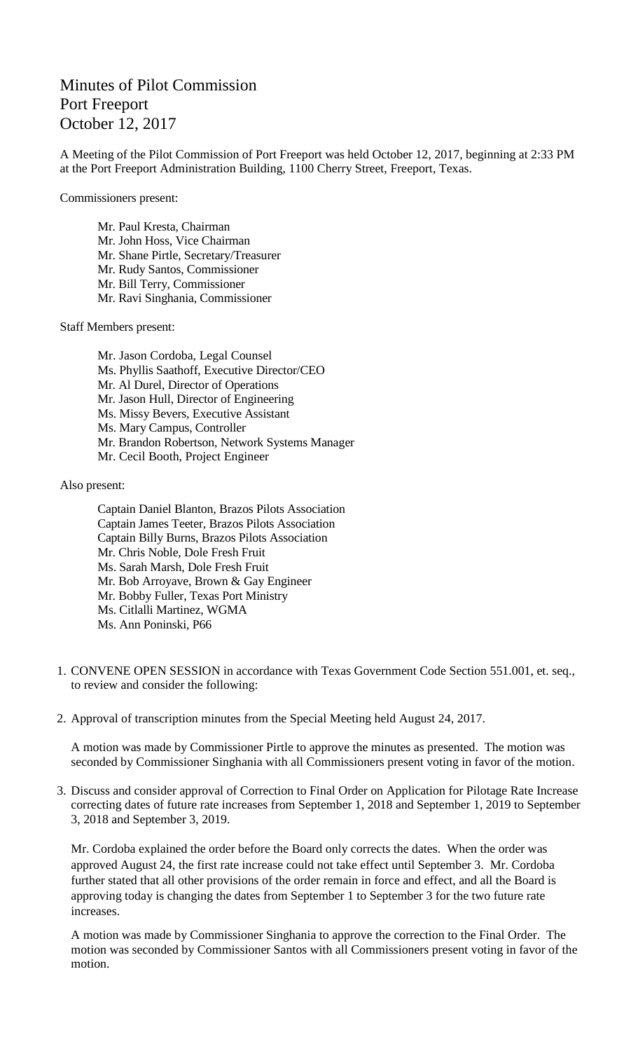## Minutes of Pilot Commission Port Freeport October 12, 2017

A Meeting of the Pilot Commission of Port Freeport was held October 12, 2017, beginning at 2:33 PM at the Port Freeport Administration Building, 1100 Cherry Street, Freeport, Texas.

Commissioners present:

Mr. Paul Kresta, Chairman Mr. John Hoss, Vice Chairman Mr. Shane Pirtle, Secretary/Treasurer Mr. Rudy Santos, Commissioner Mr. Bill Terry, Commissioner Mr. Ravi Singhania, Commissioner

Staff Members present:

Mr. Jason Cordoba, Legal Counsel Ms. Phyllis Saathoff, Executive Director/CEO Mr. Al Durel, Director of Operations Mr. Jason Hull, Director of Engineering Ms. Missy Bevers, Executive Assistant Ms. Mary Campus, Controller Mr. Brandon Robertson, Network Systems Manager Mr. Cecil Booth, Project Engineer

Also present:

- Captain Daniel Blanton, Brazos Pilots Association Captain James Teeter, Brazos Pilots Association Captain Billy Burns, Brazos Pilots Association Mr. Chris Noble, Dole Fresh Fruit Ms. Sarah Marsh, Dole Fresh Fruit Mr. Bob Arroyave, Brown & Gay Engineer Mr. Bobby Fuller, Texas Port Ministry Ms. Citlalli Martinez, WGMA Ms. Ann Poninski, P66
- 1. CONVENE OPEN SESSION in accordance with Texas Government Code Section 551.001, et. seq., to review and consider the following:
- 2. Approval of transcription minutes from the Special Meeting held August 24, 2017.

A motion was made by Commissioner Pirtle to approve the minutes as presented. The motion was seconded by Commissioner Singhania with all Commissioners present voting in favor of the motion.

3. Discuss and consider approval of Correction to Final Order on Application for Pilotage Rate Increase correcting dates of future rate increases from September 1, 2018 and September 1, 2019 to September 3, 2018 and September 3, 2019.

Mr. Cordoba explained the order before the Board only corrects the dates. When the order was approved August 24, the first rate increase could not take effect until September 3. Mr. Cordoba further stated that all other provisions of the order remain in force and effect, and all the Board is approving today is changing the dates from September 1 to September 3 for the two future rate increases.

A motion was made by Commissioner Singhania to approve the correction to the Final Order. The motion was seconded by Commissioner Santos with all Commissioners present voting in favor of the motion.